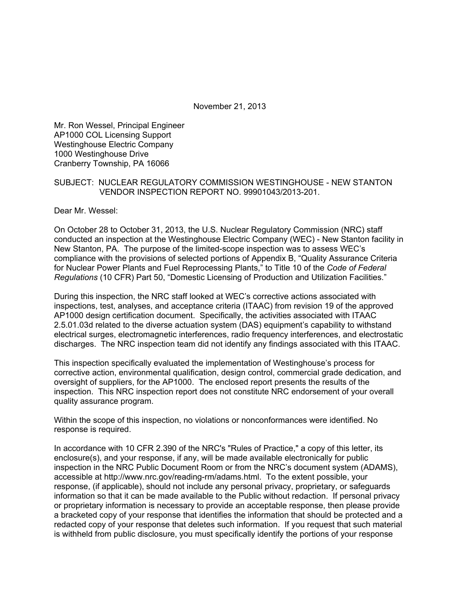November 21, 2013

Mr. Ron Wessel, Principal Engineer AP1000 COL Licensing Support Westinghouse Electric Company 1000 Westinghouse Drive Cranberry Township, PA 16066

#### SUBJECT: NUCLEAR REGULATORY COMMISSION WESTINGHOUSE - NEW STANTON VENDOR INSPECTION REPORT NO. 99901043/2013-201.

Dear Mr. Wessel:

On October 28 to October 31, 2013, the U.S. Nuclear Regulatory Commission (NRC) staff conducted an inspection at the Westinghouse Electric Company (WEC) - New Stanton facility in New Stanton, PA. The purpose of the limited-scope inspection was to assess WEC's compliance with the provisions of selected portions of Appendix B, "Quality Assurance Criteria for Nuclear Power Plants and Fuel Reprocessing Plants," to Title 10 of the *Code of Federal Regulations* (10 CFR) Part 50, "Domestic Licensing of Production and Utilization Facilities."

During this inspection, the NRC staff looked at WEC's corrective actions associated with inspections, test, analyses, and acceptance criteria (ITAAC) from revision 19 of the approved AP1000 design certification document. Specifically, the activities associated with ITAAC 2.5.01.03d related to the diverse actuation system (DAS) equipment's capability to withstand electrical surges, electromagnetic interferences, radio frequency interferences, and electrostatic discharges. The NRC inspection team did not identify any findings associated with this ITAAC.

This inspection specifically evaluated the implementation of Westinghouse's process for corrective action, environmental qualification, design control, commercial grade dedication, and oversight of suppliers, for the AP1000. The enclosed report presents the results of the inspection. This NRC inspection report does not constitute NRC endorsement of your overall quality assurance program.

Within the scope of this inspection, no violations or nonconformances were identified. No response is required.

In accordance with 10 CFR 2.390 of the NRC's "Rules of Practice," a copy of this letter, its enclosure(s), and your response, if any, will be made available electronically for public inspection in the NRC Public Document Room or from the NRC's document system (ADAMS), accessible at http://www.nrc.gov/reading-rm/adams.html. To the extent possible, your response, (if applicable), should not include any personal privacy, proprietary, or safeguards information so that it can be made available to the Public without redaction. If personal privacy or proprietary information is necessary to provide an acceptable response, then please provide a bracketed copy of your response that identifies the information that should be protected and a redacted copy of your response that deletes such information. If you request that such material is withheld from public disclosure, you must specifically identify the portions of your response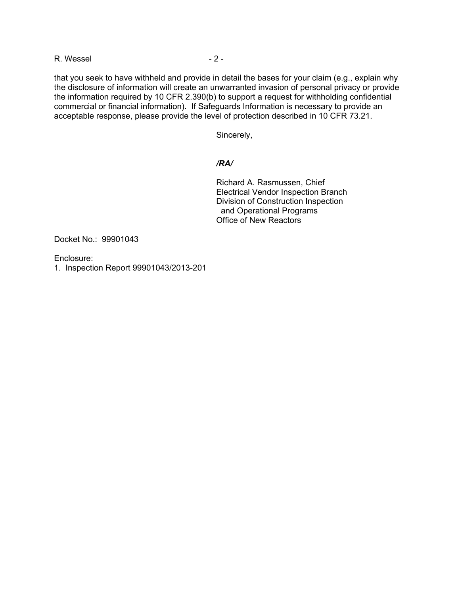R. Wessel - 2 -

that you seek to have withheld and provide in detail the bases for your claim (e.g., explain why the disclosure of information will create an unwarranted invasion of personal privacy or provide the information required by 10 CFR 2.390(b) to support a request for withholding confidential commercial or financial information). If Safeguards Information is necessary to provide an acceptable response, please provide the level of protection described in 10 CFR 73.21.

Sincerely,

## */RA/*

Richard A. Rasmussen, Chief Electrical Vendor Inspection Branch Division of Construction Inspection and Operational Programs Office of New Reactors

Docket No.: 99901043

Enclosure:

1. Inspection Report 99901043/2013-201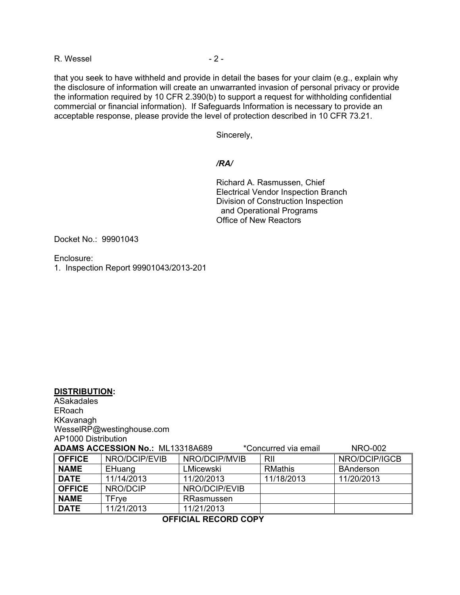R. Wessel - 2 -

that you seek to have withheld and provide in detail the bases for your claim (e.g., explain why the disclosure of information will create an unwarranted invasion of personal privacy or provide the information required by 10 CFR 2.390(b) to support a request for withholding confidential commercial or financial information). If Safeguards Information is necessary to provide an acceptable response, please provide the level of protection described in 10 CFR 73.21.

Sincerely,

# */RA/*

Richard A. Rasmussen, Chief Electrical Vendor Inspection Branch Division of Construction Inspection and Operational Programs Office of New Reactors

Docket No.: 99901043

Enclosure:

**DISTRIBUTION:** 

1. Inspection Report 99901043/2013-201

| <b>ASakadales</b>                                                          |                           |               |                |                  |
|----------------------------------------------------------------------------|---------------------------|---------------|----------------|------------------|
| <b>ERoach</b>                                                              |                           |               |                |                  |
| KKavanagh                                                                  |                           |               |                |                  |
|                                                                            | WesselRP@westinghouse.com |               |                |                  |
| AP1000 Distribution                                                        |                           |               |                |                  |
| ADAMS ACCESSION No.: ML13318A689<br><b>NRO-002</b><br>*Concurred via email |                           |               |                |                  |
| <b>OFFICE</b>                                                              | NRO/DCIP/EVIB             | NRO/DCIP/MVIB | <b>RII</b>     | NRO/DCIP/IGCB    |
| <b>NAME</b>                                                                | EHuang                    | LMicewski     | <b>RMathis</b> | <b>BAnderson</b> |
| <b>DATE</b>                                                                | 11/14/2013                | 11/20/2013    | 11/18/2013     | 11/20/2013       |
| <b>OFFICE</b>                                                              | NRO/DCIP                  | NRO/DCIP/EVIB |                |                  |
| <b>NAME</b>                                                                | TFrye                     | RRasmussen    |                |                  |
| <b>DATE</b>                                                                | 11/21/2013                | 11/21/2013    |                |                  |

**OFFICIAL RECORD COPY**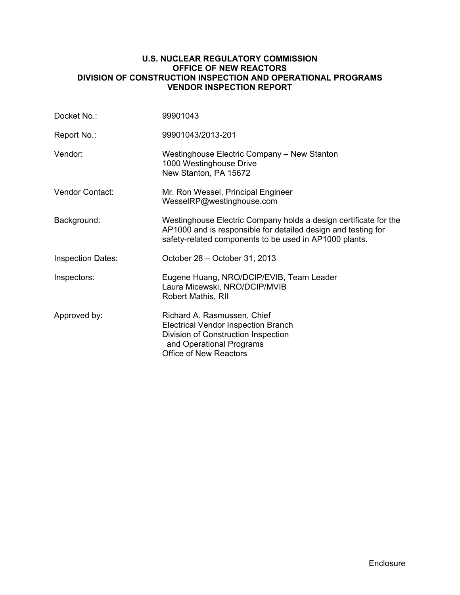#### **U.S. NUCLEAR REGULATORY COMMISSION OFFICE OF NEW REACTORS DIVISION OF CONSTRUCTION INSPECTION AND OPERATIONAL PROGRAMS VENDOR INSPECTION REPORT**

| Docket No.:              | 99901043                                                                                                                                                                                    |
|--------------------------|---------------------------------------------------------------------------------------------------------------------------------------------------------------------------------------------|
| Report No.:              | 99901043/2013-201                                                                                                                                                                           |
| Vendor:                  | Westinghouse Electric Company – New Stanton<br>1000 Westinghouse Drive<br>New Stanton, PA 15672                                                                                             |
| Vendor Contact:          | Mr. Ron Wessel, Principal Engineer<br>WesselRP@westinghouse.com                                                                                                                             |
| Background:              | Westinghouse Electric Company holds a design certificate for the<br>AP1000 and is responsible for detailed design and testing for<br>safety-related components to be used in AP1000 plants. |
| <b>Inspection Dates:</b> | October 28 - October 31, 2013                                                                                                                                                               |
| Inspectors:              | Eugene Huang, NRO/DCIP/EVIB, Team Leader<br>Laura Micewski, NRO/DCIP/MVIB<br>Robert Mathis, RII                                                                                             |
| Approved by:             | Richard A. Rasmussen, Chief<br><b>Electrical Vendor Inspection Branch</b><br>Division of Construction Inspection<br>and Operational Programs<br><b>Office of New Reactors</b>               |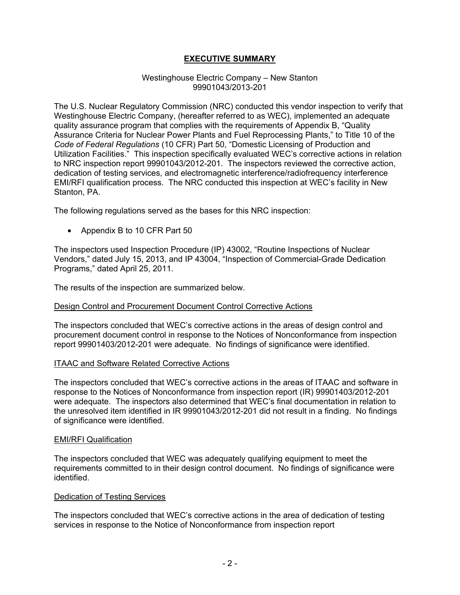# **EXECUTIVE SUMMARY**

#### Westinghouse Electric Company – New Stanton 99901043/2013-201

The U.S. Nuclear Regulatory Commission (NRC) conducted this vendor inspection to verify that Westinghouse Electric Company, (hereafter referred to as WEC), implemented an adequate quality assurance program that complies with the requirements of Appendix B, "Quality Assurance Criteria for Nuclear Power Plants and Fuel Reprocessing Plants," to Title 10 of the *Code of Federal Regulations* (10 CFR) Part 50, "Domestic Licensing of Production and Utilization Facilities." This inspection specifically evaluated WEC's corrective actions in relation to NRC inspection report 99901043/2012-201. The inspectors reviewed the corrective action, dedication of testing services, and electromagnetic interference/radiofrequency interference EMI/RFI qualification process. The NRC conducted this inspection at WEC's facility in New Stanton, PA.

The following regulations served as the bases for this NRC inspection:

• Appendix B to 10 CFR Part 50

The inspectors used Inspection Procedure (IP) 43002, "Routine Inspections of Nuclear Vendors," dated July 15, 2013, and IP 43004, "Inspection of Commercial-Grade Dedication Programs," dated April 25, 2011.

The results of the inspection are summarized below.

# Design Control and Procurement Document Control Corrective Actions

The inspectors concluded that WEC's corrective actions in the areas of design control and procurement document control in response to the Notices of Nonconformance from inspection report 99901403/2012-201 were adequate. No findings of significance were identified.

#### ITAAC and Software Related Corrective Actions

The inspectors concluded that WEC's corrective actions in the areas of ITAAC and software in response to the Notices of Nonconformance from inspection report (IR) 99901403/2012-201 were adequate. The inspectors also determined that WEC's final documentation in relation to the unresolved item identified in IR 99901043/2012-201 did not result in a finding. No findings of significance were identified.

#### EMI/RFI Qualification

The inspectors concluded that WEC was adequately qualifying equipment to meet the requirements committed to in their design control document. No findings of significance were identified.

#### Dedication of Testing Services

The inspectors concluded that WEC's corrective actions in the area of dedication of testing services in response to the Notice of Nonconformance from inspection report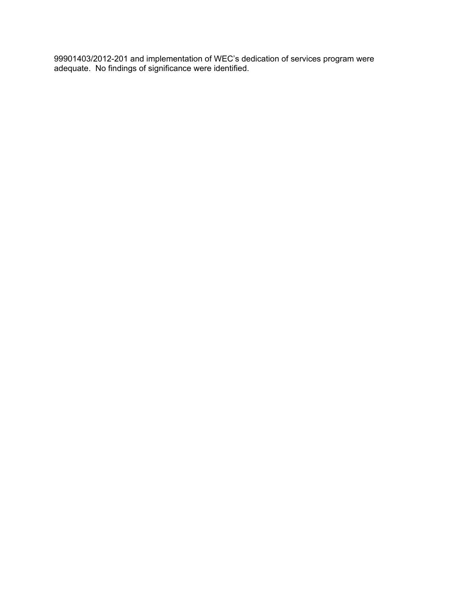99901403/2012-201 and implementation of WEC's dedication of services program were adequate. No findings of significance were identified.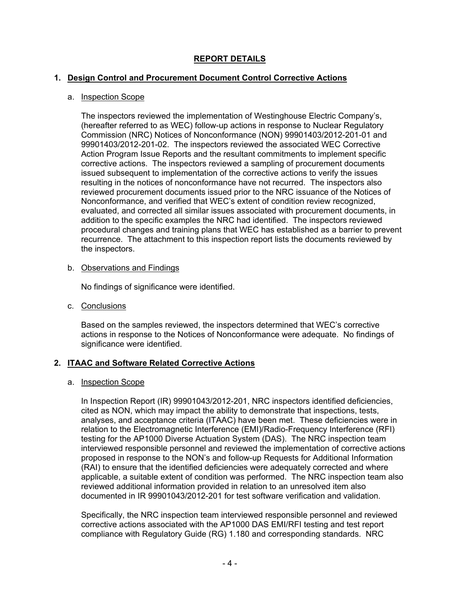# **REPORT DETAILS**

# **1. Design Control and Procurement Document Control Corrective Actions**

# a. Inspection Scope

The inspectors reviewed the implementation of Westinghouse Electric Company's, (hereafter referred to as WEC) follow-up actions in response to Nuclear Regulatory Commission (NRC) Notices of Nonconformance (NON) 99901403/2012-201-01 and 99901403/2012-201-02. The inspectors reviewed the associated WEC Corrective Action Program Issue Reports and the resultant commitments to implement specific corrective actions. The inspectors reviewed a sampling of procurement documents issued subsequent to implementation of the corrective actions to verify the issues resulting in the notices of nonconformance have not recurred. The inspectors also reviewed procurement documents issued prior to the NRC issuance of the Notices of Nonconformance, and verified that WEC's extent of condition review recognized, evaluated, and corrected all similar issues associated with procurement documents, in addition to the specific examples the NRC had identified. The inspectors reviewed procedural changes and training plans that WEC has established as a barrier to prevent recurrence. The attachment to this inspection report lists the documents reviewed by the inspectors.

# b. Observations and Findings

No findings of significance were identified.

c. Conclusions

Based on the samples reviewed, the inspectors determined that WEC's corrective actions in response to the Notices of Nonconformance were adequate. No findings of significance were identified.

# **2. ITAAC and Software Related Corrective Actions**

# a. Inspection Scope

In Inspection Report (IR) 99901043/2012-201, NRC inspectors identified deficiencies, cited as NON, which may impact the ability to demonstrate that inspections, tests, analyses, and acceptance criteria (ITAAC) have been met. These deficiencies were in relation to the Electromagnetic Interference (EMI)/Radio-Frequency Interference (RFI) testing for the AP1000 Diverse Actuation System (DAS). The NRC inspection team interviewed responsible personnel and reviewed the implementation of corrective actions proposed in response to the NON's and follow-up Requests for Additional Information (RAI) to ensure that the identified deficiencies were adequately corrected and where applicable, a suitable extent of condition was performed. The NRC inspection team also reviewed additional information provided in relation to an unresolved item also documented in IR 99901043/2012-201 for test software verification and validation.

Specifically, the NRC inspection team interviewed responsible personnel and reviewed corrective actions associated with the AP1000 DAS EMI/RFI testing and test report compliance with Regulatory Guide (RG) 1.180 and corresponding standards. NRC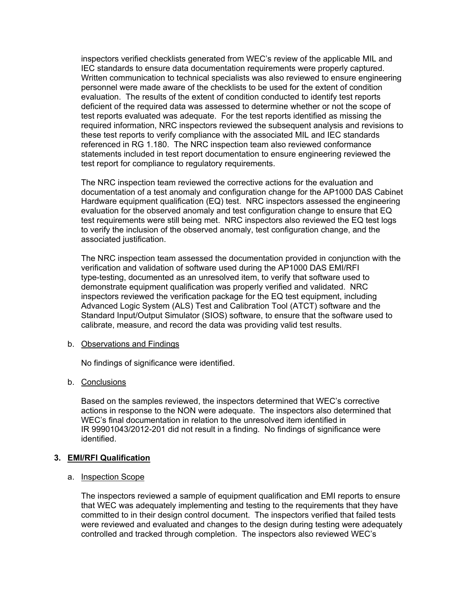inspectors verified checklists generated from WEC's review of the applicable MIL and IEC standards to ensure data documentation requirements were properly captured. Written communication to technical specialists was also reviewed to ensure engineering personnel were made aware of the checklists to be used for the extent of condition evaluation. The results of the extent of condition conducted to identify test reports deficient of the required data was assessed to determine whether or not the scope of test reports evaluated was adequate. For the test reports identified as missing the required information, NRC inspectors reviewed the subsequent analysis and revisions to these test reports to verify compliance with the associated MIL and IEC standards referenced in RG 1.180. The NRC inspection team also reviewed conformance statements included in test report documentation to ensure engineering reviewed the test report for compliance to regulatory requirements.

The NRC inspection team reviewed the corrective actions for the evaluation and documentation of a test anomaly and configuration change for the AP1000 DAS Cabinet Hardware equipment qualification (EQ) test. NRC inspectors assessed the engineering evaluation for the observed anomaly and test configuration change to ensure that EQ test requirements were still being met. NRC inspectors also reviewed the EQ test logs to verify the inclusion of the observed anomaly, test configuration change, and the associated justification.

The NRC inspection team assessed the documentation provided in conjunction with the verification and validation of software used during the AP1000 DAS EMI/RFI type-testing, documented as an unresolved item, to verify that software used to demonstrate equipment qualification was properly verified and validated. NRC inspectors reviewed the verification package for the EQ test equipment, including Advanced Logic System (ALS) Test and Calibration Tool (ATCT) software and the Standard Input/Output Simulator (SIOS) software, to ensure that the software used to calibrate, measure, and record the data was providing valid test results.

#### b. Observations and Findings

No findings of significance were identified.

#### b. Conclusions

Based on the samples reviewed, the inspectors determined that WEC's corrective actions in response to the NON were adequate. The inspectors also determined that WEC's final documentation in relation to the unresolved item identified in IR 99901043/2012-201 did not result in a finding. No findings of significance were identified.

#### **3. EMI/RFI Qualification**

#### a. Inspection Scope

The inspectors reviewed a sample of equipment qualification and EMI reports to ensure that WEC was adequately implementing and testing to the requirements that they have committed to in their design control document. The inspectors verified that failed tests were reviewed and evaluated and changes to the design during testing were adequately controlled and tracked through completion. The inspectors also reviewed WEC's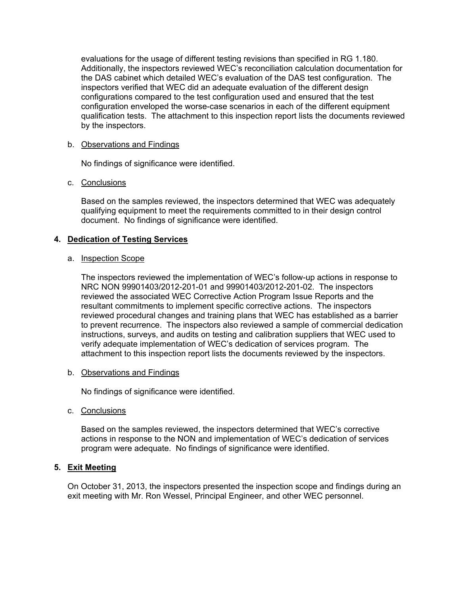evaluations for the usage of different testing revisions than specified in RG 1.180. Additionally, the inspectors reviewed WEC's reconciliation calculation documentation for the DAS cabinet which detailed WEC's evaluation of the DAS test configuration. The inspectors verified that WEC did an adequate evaluation of the different design configurations compared to the test configuration used and ensured that the test configuration enveloped the worse-case scenarios in each of the different equipment qualification tests. The attachment to this inspection report lists the documents reviewed by the inspectors.

# b. Observations and Findings

No findings of significance were identified.

#### c. Conclusions

Based on the samples reviewed, the inspectors determined that WEC was adequately qualifying equipment to meet the requirements committed to in their design control document. No findings of significance were identified.

# **4. Dedication of Testing Services**

#### a. Inspection Scope

The inspectors reviewed the implementation of WEC's follow-up actions in response to NRC NON 99901403/2012-201-01 and 99901403/2012-201-02. The inspectors reviewed the associated WEC Corrective Action Program Issue Reports and the resultant commitments to implement specific corrective actions. The inspectors reviewed procedural changes and training plans that WEC has established as a barrier to prevent recurrence. The inspectors also reviewed a sample of commercial dedication instructions, surveys, and audits on testing and calibration suppliers that WEC used to verify adequate implementation of WEC's dedication of services program. The attachment to this inspection report lists the documents reviewed by the inspectors.

#### b. Observations and Findings

No findings of significance were identified.

c. Conclusions

Based on the samples reviewed, the inspectors determined that WEC's corrective actions in response to the NON and implementation of WEC's dedication of services program were adequate. No findings of significance were identified.

# **5. Exit Meeting**

On October 31, 2013, the inspectors presented the inspection scope and findings during an exit meeting with Mr. Ron Wessel, Principal Engineer, and other WEC personnel.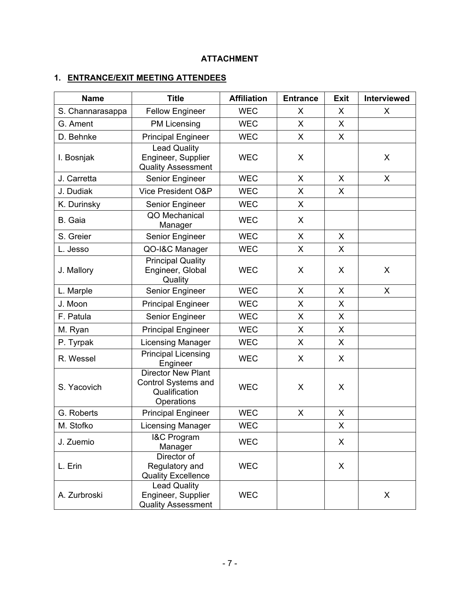# **ATTACHMENT**

# **1. ENTRANCE/EXIT MEETING ATTENDEES**

| <b>Name</b>      | <b>Title</b>                                                                    | <b>Affiliation</b> | <b>Entrance</b> | <b>Exit</b>  | Interviewed  |
|------------------|---------------------------------------------------------------------------------|--------------------|-----------------|--------------|--------------|
| S. Channarasappa | <b>Fellow Engineer</b>                                                          | <b>WEC</b>         | X               | $\mathsf{X}$ | X            |
| G. Ament         | <b>PM Licensing</b>                                                             | <b>WEC</b>         | X               | $\mathsf{X}$ |              |
| D. Behnke        | <b>Principal Engineer</b>                                                       | <b>WEC</b>         | $\mathsf{X}$    | X            |              |
| I. Bosnjak       | <b>Lead Quality</b><br>Engineer, Supplier<br><b>Quality Assessment</b>          | <b>WEC</b>         | X               |              | X            |
| J. Carretta      | Senior Engineer                                                                 | <b>WEC</b>         | X               | $\mathsf{X}$ | X            |
| J. Dudiak        | Vice President O&P                                                              | <b>WEC</b>         | X               | X            |              |
| K. Durinsky      | Senior Engineer                                                                 | <b>WEC</b>         | X               |              |              |
| B. Gaia          | QO Mechanical<br>Manager                                                        | <b>WEC</b>         | X               |              |              |
| S. Greier        | Senior Engineer                                                                 | <b>WEC</b>         | X               | X            |              |
| L. Jesso         | QO-I&C Manager                                                                  | <b>WEC</b>         | $\mathsf{X}$    | $\mathsf{X}$ |              |
| J. Mallory       | <b>Principal Quality</b><br>Engineer, Global<br>Quality                         | <b>WEC</b>         | X               | X            | X            |
| L. Marple        | Senior Engineer                                                                 | <b>WEC</b>         | X               | $\mathsf{X}$ | $\mathsf{X}$ |
| J. Moon          | <b>Principal Engineer</b>                                                       | <b>WEC</b>         | X               | X            |              |
| F. Patula        | Senior Engineer                                                                 | <b>WEC</b>         | X               | X            |              |
| M. Ryan          | <b>Principal Engineer</b>                                                       | <b>WEC</b>         | X               | X            |              |
| P. Tyrpak        | <b>Licensing Manager</b>                                                        | <b>WEC</b>         | X               | X            |              |
| R. Wessel        | <b>Principal Licensing</b><br>Engineer                                          | <b>WEC</b>         | X               | X            |              |
| S. Yacovich      | <b>Director New Plant</b><br>Control Systems and<br>Qualification<br>Operations | <b>WEC</b>         | X               | X            |              |
| G. Roberts       | <b>Principal Engineer</b>                                                       | <b>WEC</b>         | X               | $\mathsf{X}$ |              |
| M. Stofko        | Licensing Manager                                                               | <b>WEC</b>         |                 | X            |              |
| J. Zuemio        | I&C Program<br>Manager                                                          | <b>WEC</b>         |                 | X            |              |
| L. Erin          | Director of<br>Regulatory and<br><b>Quality Excellence</b>                      | <b>WEC</b>         |                 | X            |              |
| A. Zurbroski     | <b>Lead Quality</b><br>Engineer, Supplier<br><b>Quality Assessment</b>          | <b>WEC</b>         |                 |              | X            |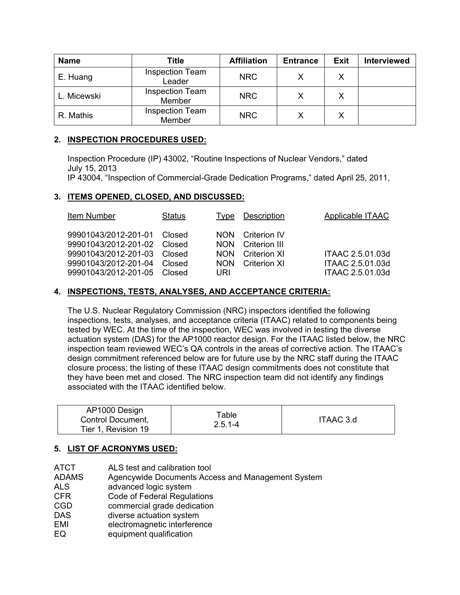| <b>Name</b> | Title                            | <b>Affiliation</b> | <b>Entrance</b> | <b>Exit</b> | <b>Interviewed</b> |
|-------------|----------------------------------|--------------------|-----------------|-------------|--------------------|
| E. Huang    | <b>Inspection Team</b><br>Leader | <b>NRC</b>         |                 |             |                    |
| L. Micewski | <b>Inspection Team</b><br>Member | <b>NRC</b>         |                 |             |                    |
| R. Mathis   | <b>Inspection Team</b><br>Member | <b>NRC</b>         |                 |             |                    |

# **2. INSPECTION PROCEDURES USED:**

Inspection Procedure (IP) 43002, "Routine Inspections of Nuclear Vendors," dated July 15, 2013

IP 43004, "Inspection of Commercial-Grade Dedication Programs," dated April 25, 2011,

# **3. ITEMS OPENED, CLOSED, AND DISCUSSED:**

| Item Number                                                                                                                                      | <b>Status</b> | Type                                                  | Description                                                                 | Applicable ITAAC                                         |
|--------------------------------------------------------------------------------------------------------------------------------------------------|---------------|-------------------------------------------------------|-----------------------------------------------------------------------------|----------------------------------------------------------|
| 99901043/2012-201-01 Closed<br>99901043/2012-201-02 Closed<br>99901043/2012-201-03 Closed<br>99901043/2012-201-04<br>99901043/2012-201-05 Closed | Closed        | NON.<br><b>NON</b><br><b>NON</b><br><b>NON</b><br>URI | <b>Criterion IV</b><br>Criterion III<br><b>Criterion XI</b><br>Criterion XI | ITAAC 2.5.01.03d<br>ITAAC 2.5.01.03d<br>ITAAC 2.5.01.03d |

# **4. INSPECTIONS, TESTS, ANALYSES, AND ACCEPTANCE CRITERIA:**

 The U.S. Nuclear Regulatory Commission (NRC) inspectors identified the following inspections, tests, analyses, and acceptance criteria (ITAAC) related to components being tested by WEC. At the time of the inspection, WEC was involved in testing the diverse actuation system (DAS) for the AP1000 reactor design. For the ITAAC listed below, the NRC inspection team reviewed WEC's QA controls in the areas of corrective action. The ITAAC's design commitment referenced below are for future use by the NRC staff during the ITAAC closure process; the listing of these ITAAC design commitments does not constitute that they have been met and closed. The NRC inspection team did not identify any findings associated with the ITAAC identified below.

|  | AP1000 Design<br>Control Document,<br>Tier 1, Revision 19 | Table<br>$2.5.1 - 4$ | ITAAC 3.d |
|--|-----------------------------------------------------------|----------------------|-----------|
|--|-----------------------------------------------------------|----------------------|-----------|

# **5. LIST OF ACRONYMS USED:**

- ATCT ALS test and calibration tool
- ADAMS Agencywide Documents Access and Management System
- ALS advanced logic system
- CFR Code of Federal Regulations
- CGD commercial grade dedication
- DAS diverse actuation system
- EMI electromagnetic interference
- EQ equipment qualification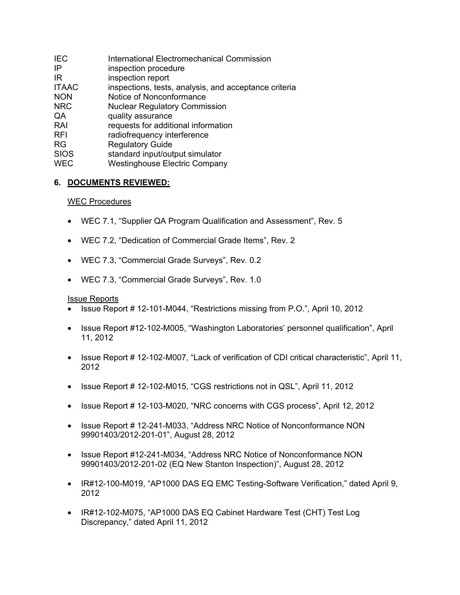| <b>IEC</b>   | <b>International Electromechanical Commission</b>     |
|--------------|-------------------------------------------------------|
| ΙP           | inspection procedure                                  |
| IR           | inspection report                                     |
| <b>ITAAC</b> | inspections, tests, analysis, and acceptance criteria |
| <b>NON</b>   | Notice of Nonconformance                              |
| <b>NRC</b>   | <b>Nuclear Regulatory Commission</b>                  |
| QA           | quality assurance                                     |
| RAI          | requests for additional information                   |
| <b>RFI</b>   | radiofrequency interference                           |
| <b>RG</b>    | <b>Regulatory Guide</b>                               |
| <b>SIOS</b>  | standard input/output simulator                       |
| <b>WEC</b>   | <b>Westinghouse Electric Company</b>                  |

# **6. DOCUMENTS REVIEWED:**

# WEC Procedures

- WEC 7.1, "Supplier QA Program Qualification and Assessment", Rev. 5
- WEC 7.2, "Dedication of Commercial Grade Items", Rev. 2
- WEC 7.3, "Commercial Grade Surveys", Rev. 0.2
- WEC 7.3, "Commercial Grade Surveys", Rev. 1.0

#### Issue Reports

- Issue Report # 12-101-M044, "Restrictions missing from P.O.", April 10, 2012
- Issue Report #12-102-M005, "Washington Laboratories' personnel qualification", April 11, 2012
- Issue Report # 12-102-M007, "Lack of verification of CDI critical characteristic", April 11, 2012
- Issue Report # 12-102-M015, "CGS restrictions not in QSL", April 11, 2012
- Issue Report # 12-103-M020, "NRC concerns with CGS process", April 12, 2012
- Issue Report # 12-241-M033, "Address NRC Notice of Nonconformance NON 99901403/2012-201-01", August 28, 2012
- Issue Report #12-241-M034, "Address NRC Notice of Nonconformance NON 99901403/2012-201-02 (EQ New Stanton Inspection)", August 28, 2012
- IR#12-100-M019, "AP1000 DAS EQ EMC Testing-Software Verification," dated April 9, 2012
- IR#12-102-M075, "AP1000 DAS EQ Cabinet Hardware Test (CHT) Test Log Discrepancy," dated April 11, 2012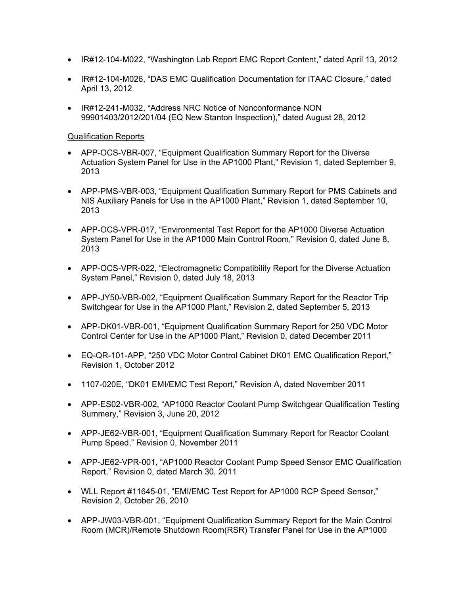- IR#12-104-M022, "Washington Lab Report EMC Report Content," dated April 13, 2012
- IR#12-104-M026, "DAS EMC Qualification Documentation for ITAAC Closure," dated April 13, 2012
- IR#12-241-M032, "Address NRC Notice of Nonconformance NON 99901403/2012/201/04 (EQ New Stanton Inspection)," dated August 28, 2012

## Qualification Reports

- APP-OCS-VBR-007, "Equipment Qualification Summary Report for the Diverse Actuation System Panel for Use in the AP1000 Plant," Revision 1, dated September 9, 2013
- APP-PMS-VBR-003, "Equipment Qualification Summary Report for PMS Cabinets and NIS Auxiliary Panels for Use in the AP1000 Plant," Revision 1, dated September 10, 2013
- APP-OCS-VPR-017, "Environmental Test Report for the AP1000 Diverse Actuation System Panel for Use in the AP1000 Main Control Room," Revision 0, dated June 8, 2013
- APP-OCS-VPR-022, "Electromagnetic Compatibility Report for the Diverse Actuation System Panel," Revision 0, dated July 18, 2013
- APP-JY50-VBR-002, "Equipment Qualification Summary Report for the Reactor Trip Switchgear for Use in the AP1000 Plant," Revision 2, dated September 5, 2013
- APP-DK01-VBR-001, "Equipment Qualification Summary Report for 250 VDC Motor Control Center for Use in the AP1000 Plant," Revision 0, dated December 2011
- EQ-QR-101-APP, "250 VDC Motor Control Cabinet DK01 EMC Qualification Report," Revision 1, October 2012
- 1107-020E, "DK01 EMI/EMC Test Report," Revision A, dated November 2011
- APP-ES02-VBR-002, "AP1000 Reactor Coolant Pump Switchgear Qualification Testing Summery," Revision 3, June 20, 2012
- APP-JE62-VBR-001, "Equipment Qualification Summary Report for Reactor Coolant Pump Speed," Revision 0, November 2011
- APP-JE62-VPR-001, "AP1000 Reactor Coolant Pump Speed Sensor EMC Qualification Report," Revision 0, dated March 30, 2011
- WLL Report #11645-01, "EMI/EMC Test Report for AP1000 RCP Speed Sensor," Revision 2, October 26, 2010
- APP-JW03-VBR-001, "Equipment Qualification Summary Report for the Main Control Room (MCR)/Remote Shutdown Room(RSR) Transfer Panel for Use in the AP1000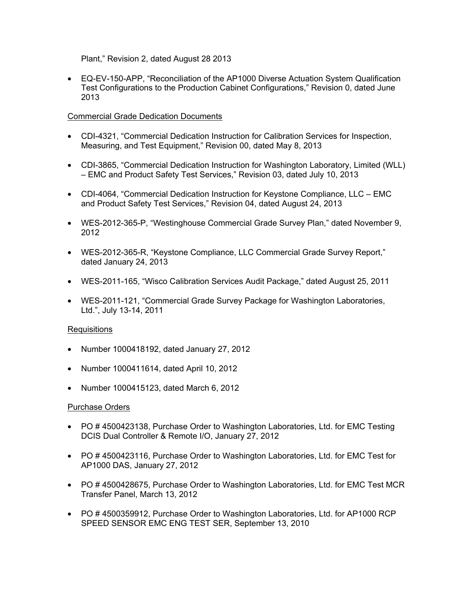Plant," Revision 2, dated August 28 2013

• EQ-EV-150-APP, "Reconciliation of the AP1000 Diverse Actuation System Qualification Test Configurations to the Production Cabinet Configurations," Revision 0, dated June 2013

## Commercial Grade Dedication Documents

- CDI-4321, "Commercial Dedication Instruction for Calibration Services for Inspection, Measuring, and Test Equipment," Revision 00, dated May 8, 2013
- CDI-3865, "Commercial Dedication Instruction for Washington Laboratory, Limited (WLL) – EMC and Product Safety Test Services," Revision 03, dated July 10, 2013
- CDI-4064, "Commercial Dedication Instruction for Keystone Compliance, LLC EMC and Product Safety Test Services," Revision 04, dated August 24, 2013
- WES-2012-365-P, "Westinghouse Commercial Grade Survey Plan," dated November 9, 2012
- WES-2012-365-R, "Keystone Compliance, LLC Commercial Grade Survey Report," dated January 24, 2013
- WES-2011-165, "Wisco Calibration Services Audit Package," dated August 25, 2011
- WES-2011-121, "Commercial Grade Survey Package for Washington Laboratories, Ltd.", July 13-14, 2011

#### Requisitions

- Number 1000418192, dated January 27, 2012
- Number 1000411614, dated April 10, 2012
- Number 1000415123, dated March 6, 2012

#### Purchase Orders

- PO # 4500423138, Purchase Order to Washington Laboratories, Ltd. for EMC Testing DCIS Dual Controller & Remote I/O, January 27, 2012
- PO # 4500423116, Purchase Order to Washington Laboratories, Ltd. for EMC Test for AP1000 DAS, January 27, 2012
- PO # 4500428675, Purchase Order to Washington Laboratories, Ltd. for EMC Test MCR Transfer Panel, March 13, 2012
- PO # 4500359912, Purchase Order to Washington Laboratories, Ltd. for AP1000 RCP SPEED SENSOR EMC ENG TEST SER, September 13, 2010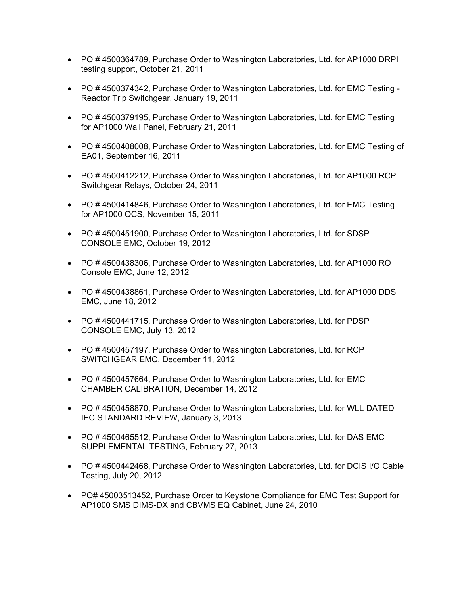- PO # 4500364789, Purchase Order to Washington Laboratories, Ltd. for AP1000 DRPI testing support, October 21, 2011
- PO # 4500374342, Purchase Order to Washington Laboratories, Ltd. for EMC Testing Reactor Trip Switchgear, January 19, 2011
- PO # 4500379195, Purchase Order to Washington Laboratories, Ltd. for EMC Testing for AP1000 Wall Panel, February 21, 2011
- PO # 4500408008, Purchase Order to Washington Laboratories, Ltd. for EMC Testing of EA01, September 16, 2011
- PO # 4500412212, Purchase Order to Washington Laboratories, Ltd. for AP1000 RCP Switchgear Relays, October 24, 2011
- PO #4500414846, Purchase Order to Washington Laboratories, Ltd. for EMC Testing for AP1000 OCS, November 15, 2011
- PO # 4500451900, Purchase Order to Washington Laboratories, Ltd. for SDSP CONSOLE EMC, October 19, 2012
- PO # 4500438306, Purchase Order to Washington Laboratories, Ltd. for AP1000 RO Console EMC, June 12, 2012
- PO # 4500438861, Purchase Order to Washington Laboratories, Ltd. for AP1000 DDS EMC, June 18, 2012
- PO # 4500441715, Purchase Order to Washington Laboratories, Ltd. for PDSP CONSOLE EMC, July 13, 2012
- PO #4500457197, Purchase Order to Washington Laboratories, Ltd. for RCP SWITCHGEAR EMC, December 11, 2012
- PO # 4500457664, Purchase Order to Washington Laboratories, Ltd. for EMC CHAMBER CALIBRATION, December 14, 2012
- PO #4500458870, Purchase Order to Washington Laboratories, Ltd. for WLL DATED IEC STANDARD REVIEW, January 3, 2013
- PO # 4500465512, Purchase Order to Washington Laboratories, Ltd. for DAS EMC SUPPLEMENTAL TESTING, February 27, 2013
- PO # 4500442468, Purchase Order to Washington Laboratories, Ltd. for DCIS I/O Cable Testing, July 20, 2012
- PO# 45003513452, Purchase Order to Keystone Compliance for EMC Test Support for AP1000 SMS DIMS-DX and CBVMS EQ Cabinet, June 24, 2010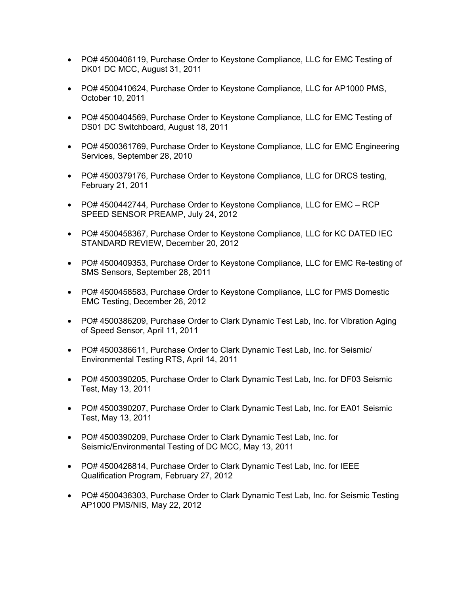- PO# 4500406119, Purchase Order to Keystone Compliance, LLC for EMC Testing of DK01 DC MCC, August 31, 2011
- PO# 4500410624, Purchase Order to Keystone Compliance, LLC for AP1000 PMS, October 10, 2011
- PO# 4500404569, Purchase Order to Keystone Compliance, LLC for EMC Testing of DS01 DC Switchboard, August 18, 2011
- PO# 4500361769, Purchase Order to Keystone Compliance, LLC for EMC Engineering Services, September 28, 2010
- PO# 4500379176, Purchase Order to Keystone Compliance, LLC for DRCS testing, February 21, 2011
- PO# 4500442744, Purchase Order to Keystone Compliance, LLC for EMC RCP SPEED SENSOR PREAMP, July 24, 2012
- PO# 4500458367, Purchase Order to Keystone Compliance, LLC for KC DATED IEC STANDARD REVIEW, December 20, 2012
- PO# 4500409353, Purchase Order to Keystone Compliance, LLC for EMC Re-testing of SMS Sensors, September 28, 2011
- PO# 4500458583, Purchase Order to Keystone Compliance, LLC for PMS Domestic EMC Testing, December 26, 2012
- PO# 4500386209, Purchase Order to Clark Dynamic Test Lab, Inc. for Vibration Aging of Speed Sensor, April 11, 2011
- PO# 4500386611, Purchase Order to Clark Dynamic Test Lab, Inc. for Seismic/ Environmental Testing RTS, April 14, 2011
- PO# 4500390205, Purchase Order to Clark Dynamic Test Lab, Inc. for DF03 Seismic Test, May 13, 2011
- PO# 4500390207, Purchase Order to Clark Dynamic Test Lab, Inc. for EA01 Seismic Test, May 13, 2011
- PO# 4500390209, Purchase Order to Clark Dynamic Test Lab, Inc. for Seismic/Environmental Testing of DC MCC, May 13, 2011
- PO# 4500426814, Purchase Order to Clark Dynamic Test Lab, Inc. for IEEE Qualification Program, February 27, 2012
- PO# 4500436303, Purchase Order to Clark Dynamic Test Lab, Inc. for Seismic Testing AP1000 PMS/NIS, May 22, 2012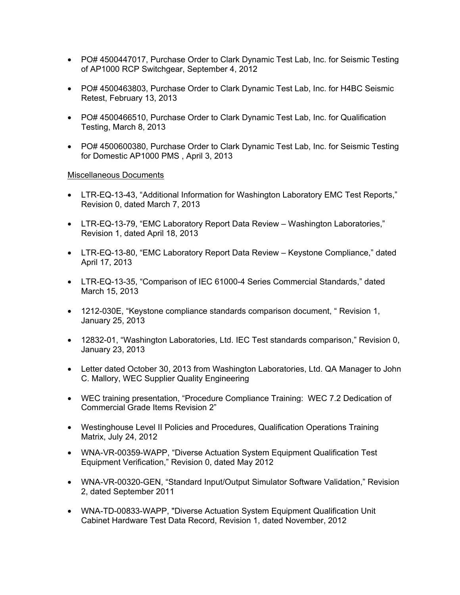- PO# 4500447017, Purchase Order to Clark Dynamic Test Lab, Inc. for Seismic Testing of AP1000 RCP Switchgear, September 4, 2012
- PO# 4500463803, Purchase Order to Clark Dynamic Test Lab, Inc. for H4BC Seismic Retest, February 13, 2013
- PO# 4500466510, Purchase Order to Clark Dynamic Test Lab, Inc. for Qualification Testing, March 8, 2013
- PO# 4500600380, Purchase Order to Clark Dynamic Test Lab, Inc. for Seismic Testing for Domestic AP1000 PMS , April 3, 2013

#### Miscellaneous Documents

- LTR-EQ-13-43, "Additional Information for Washington Laboratory EMC Test Reports," Revision 0, dated March 7, 2013
- LTR-EQ-13-79, "EMC Laboratory Report Data Review Washington Laboratories," Revision 1, dated April 18, 2013
- LTR-EQ-13-80, "EMC Laboratory Report Data Review Keystone Compliance," dated April 17, 2013
- LTR-EQ-13-35, "Comparison of IEC 61000-4 Series Commercial Standards," dated March 15, 2013
- 1212-030E, "Keystone compliance standards comparison document, " Revision 1, January 25, 2013
- 12832-01, "Washington Laboratories, Ltd. IEC Test standards comparison," Revision 0, January 23, 2013
- Letter dated October 30, 2013 from Washington Laboratories, Ltd. QA Manager to John C. Mallory, WEC Supplier Quality Engineering
- WEC training presentation, "Procedure Compliance Training: WEC 7.2 Dedication of Commercial Grade Items Revision 2"
- Westinghouse Level II Policies and Procedures, Qualification Operations Training Matrix, July 24, 2012
- WNA-VR-00359-WAPP, "Diverse Actuation System Equipment Qualification Test Equipment Verification," Revision 0, dated May 2012
- WNA-VR-00320-GEN, "Standard Input/Output Simulator Software Validation," Revision 2, dated September 2011
- WNA-TD-00833-WAPP, "Diverse Actuation System Equipment Qualification Unit Cabinet Hardware Test Data Record, Revision 1, dated November, 2012